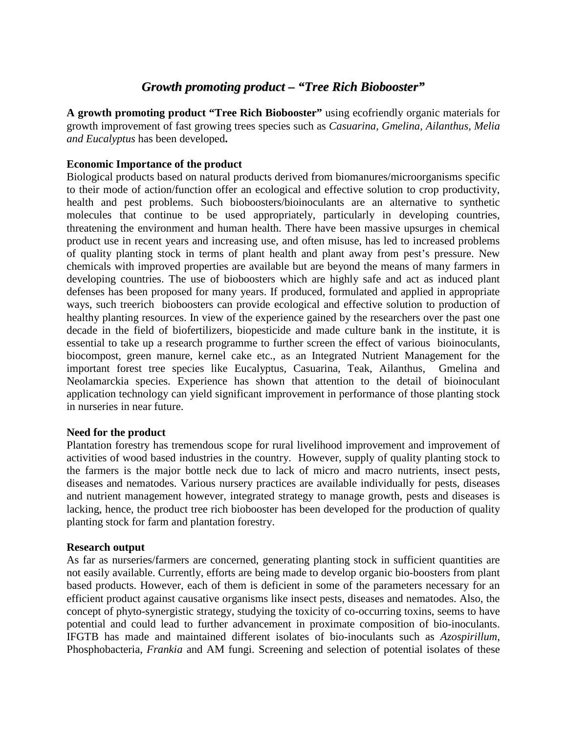# *Growth promoting product – "Tree Rich Biobooster"*

**A growth promoting product "Tree Rich Biobooster"** using ecofriendly organic materials for growth improvement of fast growing trees species such as *Casuarina, Gmelina, Ailanthus, Melia and Eucalyptus* has been developed**.**

# **Economic Importance of the product**

Biological products based on natural products derived from biomanures/microorganisms specific to their mode of action/function offer an ecological and effective solution to crop productivity, health and pest problems. Such bioboosters/bioinoculants are an alternative to synthetic molecules that continue to be used appropriately, particularly in developing countries, threatening the environment and human health. There have been massive upsurges in chemical product use in recent years and increasing use, and often misuse, has led to increased problems of quality planting stock in terms of plant health and plant away from pest's pressure. New chemicals with improved properties are available but are beyond the means of many farmers in developing countries. The use of bioboosters which are highly safe and act as induced plant defenses has been proposed for many years. If produced, formulated and applied in appropriate ways, such treerich bioboosters can provide ecological and effective solution to production of healthy planting resources. In view of the experience gained by the researchers over the past one decade in the field of biofertilizers, biopesticide and made culture bank in the institute, it is essential to take up a research programme to further screen the effect of various bioinoculants, biocompost, green manure, kernel cake etc., as an Integrated Nutrient Management for the important forest tree species like Eucalyptus, Casuarina, Teak, Ailanthus, Gmelina and Neolamarckia species. Experience has shown that attention to the detail of bioinoculant application technology can yield significant improvement in performance of those planting stock in nurseries in near future.

## **Need for the product**

Plantation forestry has tremendous scope for rural livelihood improvement and improvement of activities of wood based industries in the country. However, supply of quality planting stock to the farmers is the major bottle neck due to lack of micro and macro nutrients, insect pests, diseases and nematodes. Various nursery practices are available individually for pests, diseases and nutrient management however, integrated strategy to manage growth, pests and diseases is lacking, hence, the product tree rich biobooster has been developed for the production of quality planting stock for farm and plantation forestry.

## **Research output**

As far as nurseries/farmers are concerned, generating planting stock in sufficient quantities are not easily available. Currently, efforts are being made to develop organic bio-boosters from plant based products. However, each of them is deficient in some of the parameters necessary for an efficient product against causative organisms like insect pests, diseases and nematodes. Also, the concept of phyto-synergistic strategy, studying the toxicity of co-occurring toxins, seems to have potential and could lead to further advancement in proximate composition of bio-inoculants. IFGTB has made and maintained different isolates of bio-inoculants such as *Azospirillum*, Phosphobacteria, *Frankia* and AM fungi. Screening and selection of potential isolates of these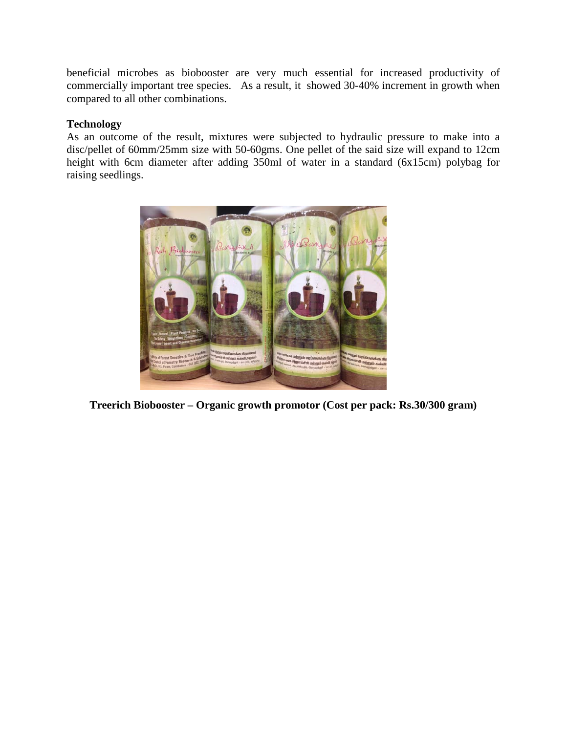beneficial microbes as biobooster are very much essential for increased productivity of commercially important tree species. As a result, it showed 30-40% increment in growth when compared to all other combinations.

# **Technology**

As an outcome of the result, mixtures were subjected to hydraulic pressure to make into a disc/pellet of 60mm/25mm size with 50-60gms. One pellet of the said size will expand to 12cm height with 6cm diameter after adding 350ml of water in a standard (6x15cm) polybag for raising seedlings.



**Treerich Biobooster – Organic growth promotor (Cost per pack: Rs.30/300 gram)**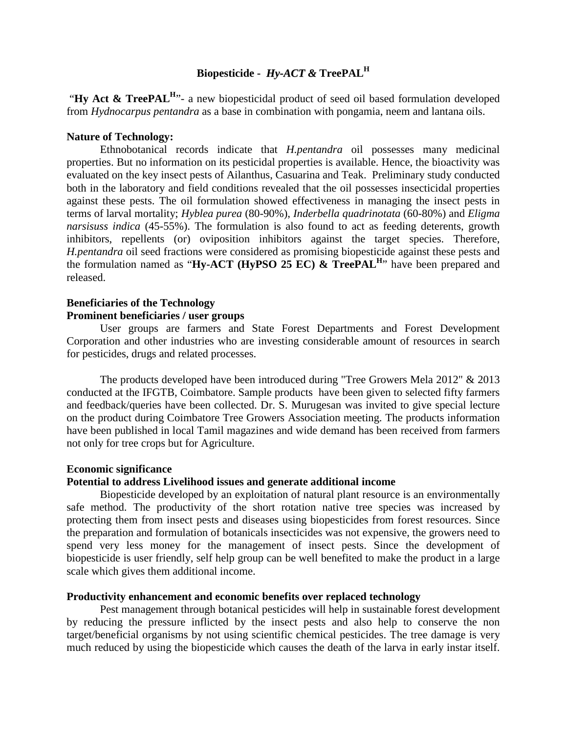# **Biopesticide -** *Hy-ACT &* **TreePAL<sup>H</sup>**

"**Hy Act & TreePAL<sup>H</sup>**"- a new biopesticidal product of seed oil based formulation developed from *Hydnocarpus pentandra* as a base in combination with pongamia, neem and lantana oils.

### **Nature of Technology:**

Ethnobotanical records indicate that *H.pentandra* oil possesses many medicinal properties. But no information on its pesticidal properties is available. Hence, the bioactivity was evaluated on the key insect pests of Ailanthus, Casuarina and Teak. Preliminary study conducted both in the laboratory and field conditions revealed that the oil possesses insecticidal properties against these pests. The oil formulation showed effectiveness in managing the insect pests in terms of larval mortality; *Hyblea purea* (80-90%), *Inderbella quadrinotata* (60-80%) and *Eligma narsisuss indica* (45-55%). The formulation is also found to act as feeding deterents, growth inhibitors, repellents (or) oviposition inhibitors against the target species. Therefore, *H.pentandra* oil seed fractions were considered as promising biopesticide against these pests and the formulation named as "**Hy-ACT** (**HyPSO 25 EC) & TreePAL<sup>H</sup>**" have been prepared and released.

# **Beneficiaries of the Technology**

# **Prominent beneficiaries / user groups**

User groups are farmers and State Forest Departments and Forest Development Corporation and other industries who are investing considerable amount of resources in search for pesticides, drugs and related processes.

The products developed have been introduced during "Tree Growers Mela 2012" & 2013 conducted at the IFGTB, Coimbatore. Sample products have been given to selected fifty farmers and feedback/queries have been collected. Dr. S. Murugesan was invited to give special lecture on the product during Coimbatore Tree Growers Association meeting. The products information have been published in local Tamil magazines and wide demand has been received from farmers not only for tree crops but for Agriculture.

### **Economic significance**

### **Potential to address Livelihood issues and generate additional income**

Biopesticide developed by an exploitation of natural plant resource is an environmentally safe method. The productivity of the short rotation native tree species was increased by protecting them from insect pests and diseases using biopesticides from forest resources. Since the preparation and formulation of botanicals insecticides was not expensive, the growers need to spend very less money for the management of insect pests. Since the development of biopesticide is user friendly, self help group can be well benefited to make the product in a large scale which gives them additional income.

### **Productivity enhancement and economic benefits over replaced technology**

Pest management through botanical pesticides will help in sustainable forest development by reducing the pressure inflicted by the insect pests and also help to conserve the non target/beneficial organisms by not using scientific chemical pesticides. The tree damage is very much reduced by using the biopesticide which causes the death of the larva in early instar itself.